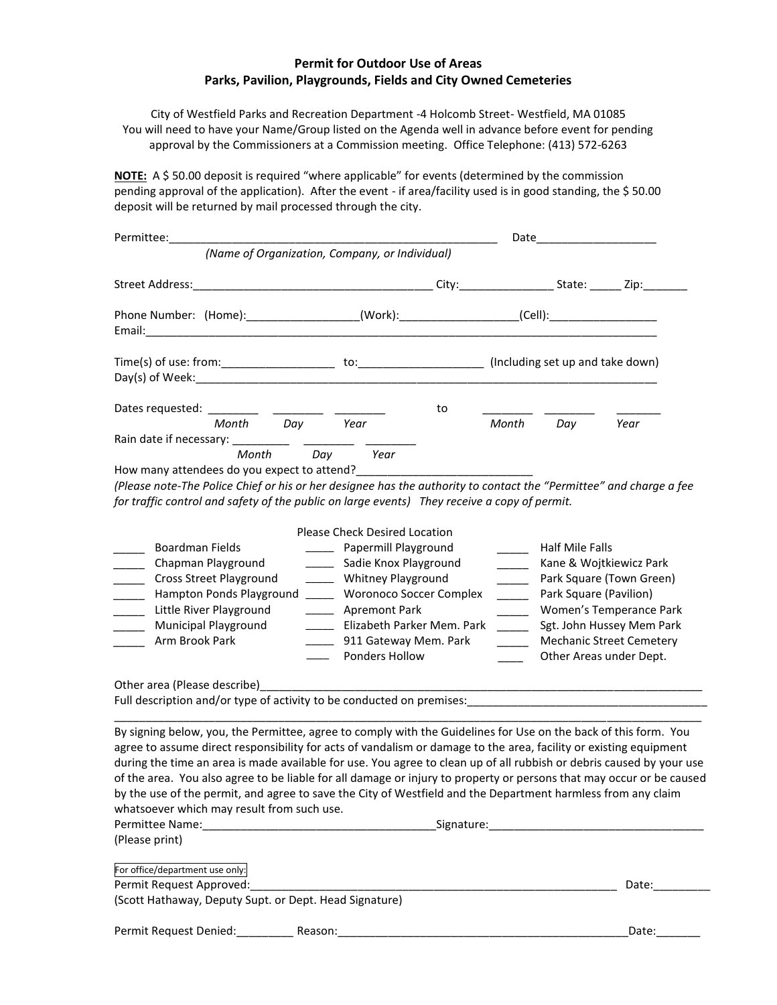## **Permit for Outdoor Use of Areas Parks, Pavilion, Playgrounds, Fields and City Owned Cemeteries**

City of Westfield Parks and Recreation Department -4 Holcomb Street- Westfield, MA 01085 You will need to have your Name/Group listed on the Agenda well in advance before event for pending approval by the Commissioners at a Commission meeting. Office Telephone: (413) 572-6263

**NOTE:** A \$ 50.00 deposit is required "where applicable" for events (determined by the commission pending approval of the application). After the event - if area/facility used is in good standing, the \$ 50.00 deposit will be returned by mail processed through the city.

| Permittee:                                                                                                                                                                                                                                                                                                                                                                                                                                                                                                                                                                                                                                                           | Date                                                                                                                                                                                                                                                                                                                                                                  |                                                                                                                                                                                                                                                                                                                                                                                                                                                                                                                                                                                                                                                                                                                                                                           |       |     |                                                                           |
|----------------------------------------------------------------------------------------------------------------------------------------------------------------------------------------------------------------------------------------------------------------------------------------------------------------------------------------------------------------------------------------------------------------------------------------------------------------------------------------------------------------------------------------------------------------------------------------------------------------------------------------------------------------------|-----------------------------------------------------------------------------------------------------------------------------------------------------------------------------------------------------------------------------------------------------------------------------------------------------------------------------------------------------------------------|---------------------------------------------------------------------------------------------------------------------------------------------------------------------------------------------------------------------------------------------------------------------------------------------------------------------------------------------------------------------------------------------------------------------------------------------------------------------------------------------------------------------------------------------------------------------------------------------------------------------------------------------------------------------------------------------------------------------------------------------------------------------------|-------|-----|---------------------------------------------------------------------------|
|                                                                                                                                                                                                                                                                                                                                                                                                                                                                                                                                                                                                                                                                      | (Name of Organization, Company, or Individual)                                                                                                                                                                                                                                                                                                                        |                                                                                                                                                                                                                                                                                                                                                                                                                                                                                                                                                                                                                                                                                                                                                                           |       |     |                                                                           |
|                                                                                                                                                                                                                                                                                                                                                                                                                                                                                                                                                                                                                                                                      |                                                                                                                                                                                                                                                                                                                                                                       |                                                                                                                                                                                                                                                                                                                                                                                                                                                                                                                                                                                                                                                                                                                                                                           |       |     |                                                                           |
| Phone Number: (Home):__________________(Work):__________________(Cell):_________________                                                                                                                                                                                                                                                                                                                                                                                                                                                                                                                                                                             |                                                                                                                                                                                                                                                                                                                                                                       |                                                                                                                                                                                                                                                                                                                                                                                                                                                                                                                                                                                                                                                                                                                                                                           |       |     |                                                                           |
|                                                                                                                                                                                                                                                                                                                                                                                                                                                                                                                                                                                                                                                                      |                                                                                                                                                                                                                                                                                                                                                                       |                                                                                                                                                                                                                                                                                                                                                                                                                                                                                                                                                                                                                                                                                                                                                                           |       |     |                                                                           |
| Dates requested: ________                                                                                                                                                                                                                                                                                                                                                                                                                                                                                                                                                                                                                                            |                                                                                                                                                                                                                                                                                                                                                                       | to                                                                                                                                                                                                                                                                                                                                                                                                                                                                                                                                                                                                                                                                                                                                                                        |       |     |                                                                           |
| Month<br>Day<br>Rain date if necessary:                                                                                                                                                                                                                                                                                                                                                                                                                                                                                                                                                                                                                              | Year                                                                                                                                                                                                                                                                                                                                                                  |                                                                                                                                                                                                                                                                                                                                                                                                                                                                                                                                                                                                                                                                                                                                                                           | Month | Day | Year                                                                      |
| How many attendees do you expect to attend?<br>(Please note-The Police Chief or his or her designee has the authority to contact the "Permittee" and charge a fee<br>for traffic control and safety of the public on large events) They receive a copy of permit.                                                                                                                                                                                                                                                                                                                                                                                                    |                                                                                                                                                                                                                                                                                                                                                                       |                                                                                                                                                                                                                                                                                                                                                                                                                                                                                                                                                                                                                                                                                                                                                                           |       |     |                                                                           |
| <b>Boardman Fields</b><br>Chapman Playground<br><b>Cross Street Playground</b><br>Hampton Ponds Playground<br>Little River Playground<br>$\mathbb{R}^n$<br><b>Municipal Playground</b><br>Arm Brook Park                                                                                                                                                                                                                                                                                                                                                                                                                                                             | <b>Please Check Desired Location</b><br>Papermill Playground<br>Sadie Knox Playground<br>$\overline{\phantom{a}}$<br><b>Whitney Playground</b><br>$\overline{\phantom{a}}$<br><b>Woronoco Soccer Complex</b><br><b>Apremont Park</b><br>$\overline{\phantom{a}}$<br>Elizabeth Parker Mem. Park<br>911 Gateway Mem. Park<br>Ponders Hollow<br>$\overline{\phantom{a}}$ | <b>Half Mile Falls</b><br>Kane & Wojtkiewicz Park<br>Park Square (Town Green)<br>$\sim$ $-$<br>Park Square (Pavilion)<br>Women's Temperance Park<br>$\sim$ $-$<br>Sgt. John Hussey Mem Park<br>$\begin{tabular}{ll} \multicolumn{2}{c} {\textbf{1}} & \multicolumn{2}{c} {\textbf{1}} \\ \multicolumn{2}{c} {\textbf{1}} & \multicolumn{2}{c} {\textbf{1}} \\ \multicolumn{2}{c} {\textbf{1}} & \multicolumn{2}{c} {\textbf{1}} \\ \multicolumn{2}{c} {\textbf{1}} & \multicolumn{2}{c} {\textbf{1}} \\ \multicolumn{2}{c} {\textbf{1}} & \multicolumn{2}{c} {\textbf{1}} \\ \multicolumn{2}{c} {\textbf{1}} & \multicolumn{2}{c} {\textbf{1}} \\ \multicolumn{2}{c} {\textbf{1}} & \multicolumn$<br><b>Mechanic Street Cemetery</b><br>$\sim$<br>Other Areas under Dept. |       |     |                                                                           |
| Other area (Please describe)<br>Full description and/or type of activity to be conducted on premises:                                                                                                                                                                                                                                                                                                                                                                                                                                                                                                                                                                |                                                                                                                                                                                                                                                                                                                                                                       |                                                                                                                                                                                                                                                                                                                                                                                                                                                                                                                                                                                                                                                                                                                                                                           |       |     |                                                                           |
| By signing below, you, the Permittee, agree to comply with the Guidelines for Use on the back of this form. You<br>agree to assume direct responsibility for acts of vandalism or damage to the area, facility or existing equipment<br>during the time an area is made available for use. You agree to clean up of all rubbish or debris caused by your use<br>of the area. You also agree to be liable for all damage or injury to property or persons that may occur or be caused<br>by the use of the permit, and agree to save the City of Westfield and the Department harmless from any claim<br>whatsoever which may result from such use.<br>(Please print) |                                                                                                                                                                                                                                                                                                                                                                       |                                                                                                                                                                                                                                                                                                                                                                                                                                                                                                                                                                                                                                                                                                                                                                           |       |     |                                                                           |
| For office/department use only:                                                                                                                                                                                                                                                                                                                                                                                                                                                                                                                                                                                                                                      |                                                                                                                                                                                                                                                                                                                                                                       |                                                                                                                                                                                                                                                                                                                                                                                                                                                                                                                                                                                                                                                                                                                                                                           |       |     | Date:___________                                                          |
| (Scott Hathaway, Deputy Supt. or Dept. Head Signature)                                                                                                                                                                                                                                                                                                                                                                                                                                                                                                                                                                                                               |                                                                                                                                                                                                                                                                                                                                                                       |                                                                                                                                                                                                                                                                                                                                                                                                                                                                                                                                                                                                                                                                                                                                                                           |       |     |                                                                           |
|                                                                                                                                                                                                                                                                                                                                                                                                                                                                                                                                                                                                                                                                      |                                                                                                                                                                                                                                                                                                                                                                       |                                                                                                                                                                                                                                                                                                                                                                                                                                                                                                                                                                                                                                                                                                                                                                           |       |     | Date: $\frac{1}{\sqrt{1-\frac{1}{2}}\cdot\frac{1}{\sqrt{1-\frac{1}{2}}}}$ |